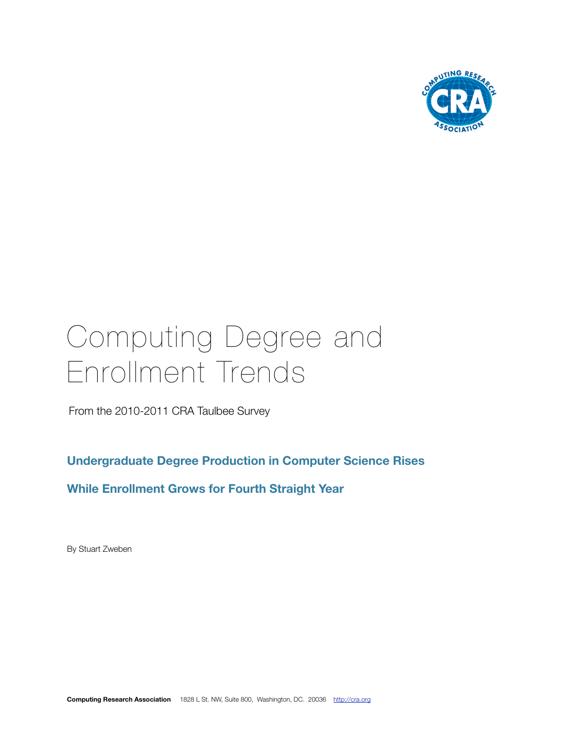

# Computing Degree and Enrollment Trends

From the 2010-2011 CRA Taulbee Survey

**Undergraduate Degree Production in Computer Science Rises**

**While Enrollment Grows for Fourth Straight Year**

By Stuart Zweben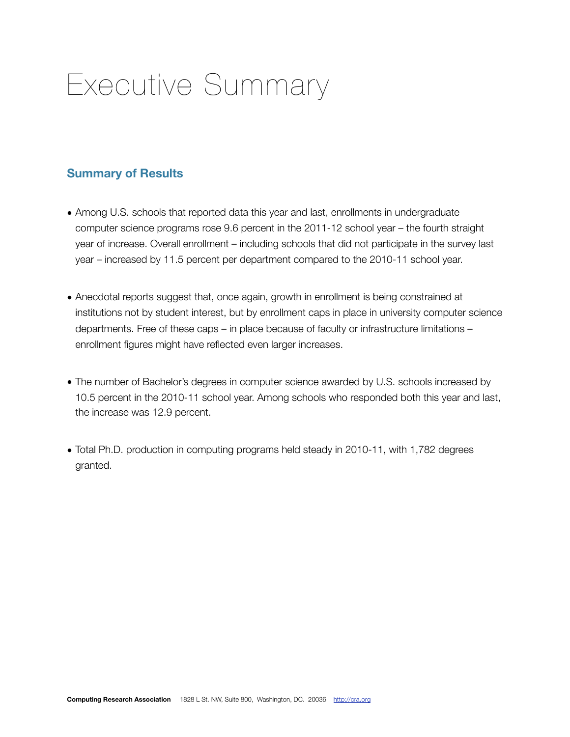## Executive Summary

#### **Summary of Results**

- Among U.S. schools that reported data this year and last, enrollments in undergraduate computer science programs rose 9.6 percent in the 2011-12 school year – the fourth straight year of increase. Overall enrollment – including schools that did not participate in the survey last year – increased by 11.5 percent per department compared to the 2010-11 school year.
- Anecdotal reports suggest that, once again, growth in enrollment is being constrained at institutions not by student interest, but by enrollment caps in place in university computer science departments. Free of these caps – in place because of faculty or infrastructure limitations – enrollment figures might have reflected even larger increases.
- The number of Bachelor's degrees in computer science awarded by U.S. schools increased by 10.5 percent in the 2010-11 school year. Among schools who responded both this year and last, the increase was 12.9 percent.
- Total Ph.D. production in computing programs held steady in 2010-11, with 1,782 degrees granted.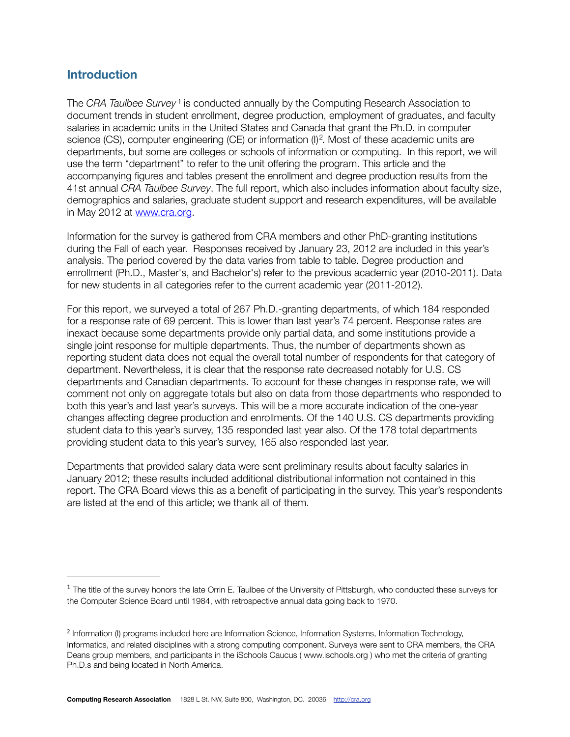#### **Introduction**

The *CRA Taulbee Survey* [1](#page-2-0) is conducted annually by the Computing Research Association to document trends in student enrollment, degree production, employment of graduates, and faculty salaries in academic units in the United States and Canada that grant the Ph.D. in computer science (CS), computer engineering (CE) or information (I)<sup>[2](#page-2-1)</sup>. Most of these academic units are departments, but some are colleges or schools of information or computing. In this report, we will use the term "department" to refer to the unit offering the program. This article and the accompanying figures and tables present the enrollment and degree production results from the 41st annual *CRA Taulbee Survey*. The full report, which also includes information about faculty size, demographics and salaries, graduate student support and research expenditures, will be available in May 2012 at [www.cra.org](http://www.cra.org).

Information for the survey is gathered from CRA members and other PhD-granting institutions during the Fall of each year. Responses received by January 23, 2012 are included in this year's analysis. The period covered by the data varies from table to table. Degree production and enrollment (Ph.D., Master's, and Bachelor's) refer to the previous academic year (2010-2011). Data for new students in all categories refer to the current academic year (2011-2012).

For this report, we surveyed a total of 267 Ph.D.-granting departments, of which 184 responded for a response rate of 69 percent. This is lower than last year's 74 percent. Response rates are inexact because some departments provide only partial data, and some institutions provide a single joint response for multiple departments. Thus, the number of departments shown as reporting student data does not equal the overall total number of respondents for that category of department. Nevertheless, it is clear that the response rate decreased notably for U.S. CS departments and Canadian departments. To account for these changes in response rate, we will comment not only on aggregate totals but also on data from those departments who responded to both this year's and last year's surveys. This will be a more accurate indication of the one-year changes affecting degree production and enrollments. Of the 140 U.S. CS departments providing student data to this year's survey, 135 responded last year also. Of the 178 total departments providing student data to this year's survey, 165 also responded last year.

Departments that provided salary data were sent preliminary results about faculty salaries in January 2012; these results included additional distributional information not contained in this report. The CRA Board views this as a benefit of participating in the survey. This year's respondents are listed at the end of this article; we thank all of them.

<span id="page-2-0"></span><sup>&</sup>lt;sup>1</sup> The title of the survey honors the late Orrin E. Taulbee of the University of Pittsburgh, who conducted these surveys for the Computer Science Board until 1984, with retrospective annual data going back to 1970.

<span id="page-2-1"></span><sup>2</sup> Information (I) programs included here are Information Science, Information Systems, Information Technology, Informatics, and related disciplines with a strong computing component. Surveys were sent to CRA members, the CRA Deans group members, and participants in the iSchools Caucus ( www.ischools.org ) who met the criteria of granting Ph.D.s and being located in North America.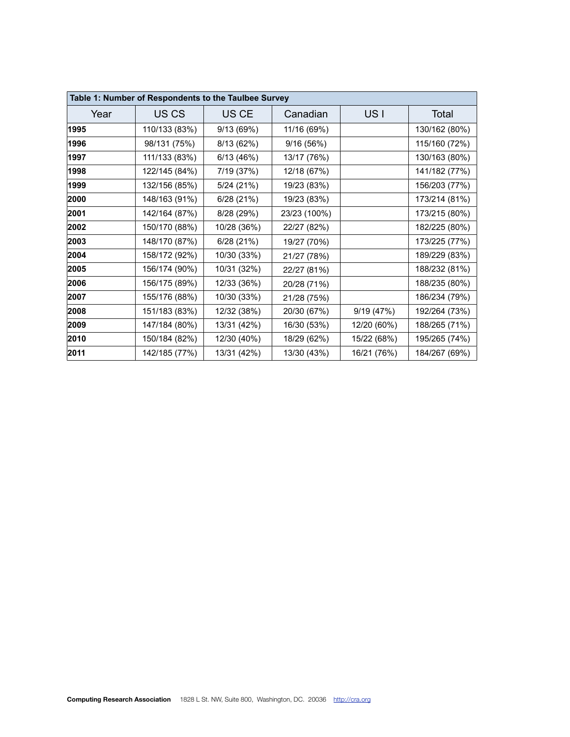|      | Table 1: Number of Respondents to the Taulbee Survey |             |              |                 |               |
|------|------------------------------------------------------|-------------|--------------|-----------------|---------------|
| Year | US <sub>CS</sub>                                     | US CE       | Canadian     | US <sub>I</sub> | Total         |
| 1995 | 110/133 (83%)                                        | 9/13 (69%)  | 11/16 (69%)  |                 | 130/162 (80%) |
| 1996 | 98/131 (75%)                                         | 8/13 (62%)  | 9/16(56%)    |                 | 115/160 (72%) |
| 1997 | 111/133 (83%)                                        | 6/13(46%)   | 13/17 (76%)  |                 | 130/163 (80%) |
| 1998 | 122/145 (84%)                                        | 7/19 (37%)  | 12/18 (67%)  |                 | 141/182 (77%) |
| 1999 | 132/156 (85%)                                        | 5/24 (21%)  | 19/23 (83%)  |                 | 156/203 (77%) |
| 2000 | 148/163 (91%)                                        | 6/28(21%)   | 19/23 (83%)  |                 | 173/214 (81%) |
| 2001 | 142/164 (87%)                                        | 8/28 (29%)  | 23/23 (100%) |                 | 173/215 (80%) |
| 2002 | 150/170 (88%)                                        | 10/28 (36%) | 22/27 (82%)  |                 | 182/225 (80%) |
| 2003 | 148/170 (87%)                                        | 6/28 (21%)  | 19/27 (70%)  |                 | 173/225 (77%) |
| 2004 | 158/172 (92%)                                        | 10/30 (33%) | 21/27 (78%)  |                 | 189/229 (83%) |
| 2005 | 156/174 (90%)                                        | 10/31 (32%) | 22/27 (81%)  |                 | 188/232 (81%) |
| 2006 | 156/175 (89%)                                        | 12/33 (36%) | 20/28 (71%)  |                 | 188/235 (80%) |
| 2007 | 155/176 (88%)                                        | 10/30 (33%) | 21/28 (75%)  |                 | 186/234 (79%) |
| 2008 | 151/183 (83%)                                        | 12/32 (38%) | 20/30 (67%)  | 9/19(47%)       | 192/264 (73%) |
| 2009 | 147/184 (80%)                                        | 13/31 (42%) | 16/30 (53%)  | 12/20 (60%)     | 188/265 (71%) |
| 2010 | 150/184 (82%)                                        | 12/30 (40%) | 18/29 (62%)  | 15/22 (68%)     | 195/265 (74%) |
| 2011 | 142/185 (77%)                                        | 13/31 (42%) | 13/30 (43%)  | 16/21 (76%)     | 184/267 (69%) |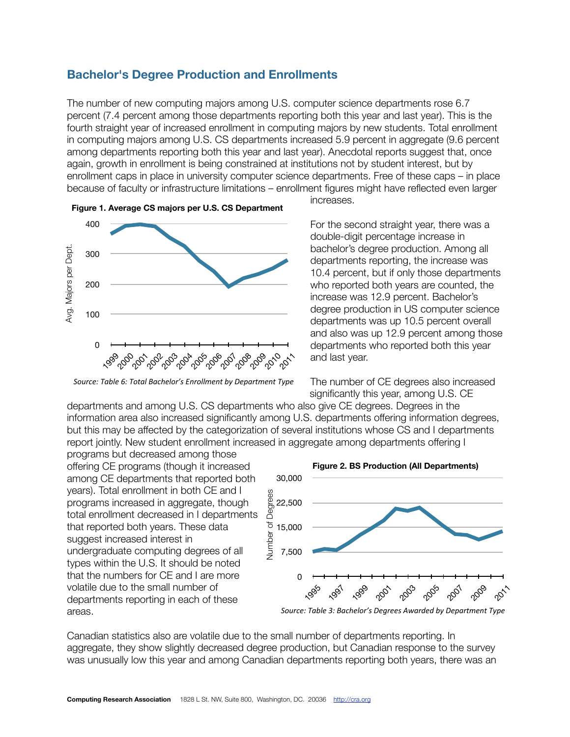#### **Bachelor's Degree Production and Enrollments**

The number of new computing majors among U.S. computer science departments rose 6.7 percent (7.4 percent among those departments reporting both this year and last year). This is the fourth straight year of increased enrollment in computing majors by new students. Total enrollment in computing majors among U.S. CS departments increased 5.9 percent in aggregate (9.6 percent among departments reporting both this year and last year). Anecdotal reports suggest that, once again, growth in enrollment is being constrained at institutions not by student interest, but by enrollment caps in place in university computer science departments. Free of these caps – in place because of faculty or infrastructure limitations – enrollment figures might have reflected even larger



Source: Table 6: Total Bachelor's Enrollment by Department Type

increases.

For the second straight year, there was a double-digit percentage increase in bachelor's degree production. Among all departments reporting, the increase was 10.4 percent, but if only those departments who reported both years are counted, the increase was 12.9 percent. Bachelor's degree production in US computer science departments was up 10.5 percent overall and also was up 12.9 percent among those departments who reported both this year and last year.

The number of CE degrees also increased significantly this year, among U.S. CE

departments and among U.S. CS departments who also give CE degrees. Degrees in the information area also increased significantly among U.S. departments offering information degrees, but this may be affected by the categorization of several institutions whose CS and I departments report jointly. New student enrollment increased in aggregate among departments offering I

programs but decreased among those offering CE programs (though it increased among CE departments that reported both years). Total enrollment in both CE and I programs increased in aggregate, though total enrollment decreased in I departments that reported both years. These data suggest increased interest in undergraduate computing degrees of all types within the U.S. It should be noted that the numbers for CE and I are more volatile due to the small number of departments reporting in each of these areas. Computing Research Association is a computing Research Association is a computing Research Association is a computing Research Association is a controlled and also wise stress of the formula and also was a solution of the



Canadian statistics also are volatile due to the small number of departments reporting. In aggregate, they show slightly decreased degree production, but Canadian response to the survey was unusually low this year and among Canadian departments reporting both years, there was an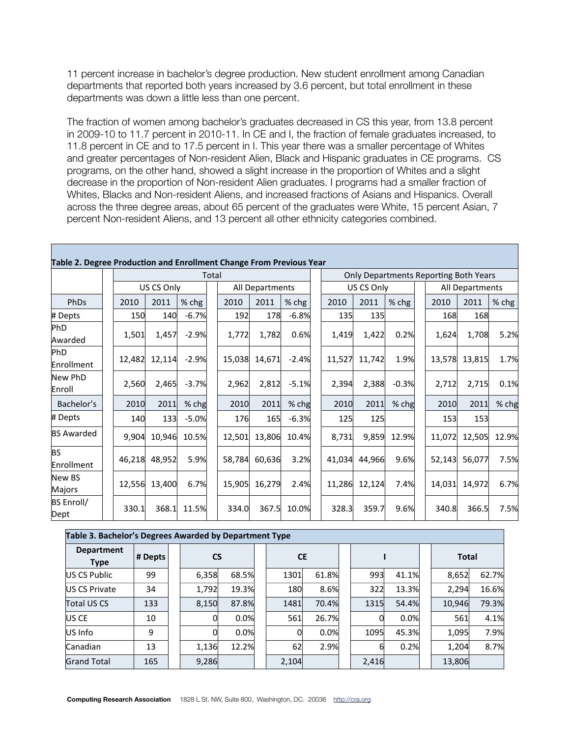11 percent increase in bachelor's degree production. New student enrollment among Canadian departments that reported both years increased by 3.6 percent, but total enrollment in these departments was down a little less than one percent.

The fraction of women among bachelor's graduates decreased in CS this year, from 13.8 percent in 2009-10 to 11.7 percent in 2010-11. In CE and I, the fraction of female graduates increased, to 11.8 percent in CE and to 17.5 percent in I. This year there was a smaller percentage of Whites and greater percentages of Non-resident Alien, Black and Hispanic graduates in CE programs. CS programs, on the other hand, showed a slight increase in the proportion of Whites and a slight decrease in the proportion of Non-resident Alien graduates. I programs had a smaller fraction of Whites, Blacks and Non-resident Aliens, and increased fractions of Asians and Hispanics. Overall across the three degree areas, about 65 percent of the graduates were White, 15 percent Asian, 7 percent Non-resident Aliens, and 13 percent all other ethnicity categories combined.

| Table 2. Degree Production and Enrollment Change From Previous Year |        |            |         |       |        |                 |         |        |            |         |                                              |                 |         |
|---------------------------------------------------------------------|--------|------------|---------|-------|--------|-----------------|---------|--------|------------|---------|----------------------------------------------|-----------------|---------|
|                                                                     |        |            |         | Total |        |                 |         |        |            |         | <b>Only Departments Reporting Both Years</b> |                 |         |
|                                                                     |        | US CS Only |         |       |        | All Departments |         |        | US CS Only |         |                                              | All Departments |         |
| PhDs                                                                | 2010   | 2011       | % chg   |       | 2010   | 2011            | % chg   | 2010   | 2011       | $%$ chg | 2010                                         | 2011            | $%$ chg |
| # Depts                                                             | 150    | 140        | $-6.7%$ |       | 192    | 178             | $-6.8%$ | 135    | 135        |         | 168                                          | 168             |         |
| PhD<br>Awarded                                                      | 1,501  | 1,457      | $-2.9%$ |       | 1,772  | 1,782           | 0.6%    | 1,419  | 1,422      | 0.2%    | 1,624                                        | 1,708           | 5.2%    |
| PhD<br>Enrollment                                                   | 12,482 | 12,114     | $-2.9%$ |       | 15,038 | 14,671          | $-2.4%$ | 11,527 | 11,742     | 1.9%    | 13,578                                       | 13,815          | 1.7%    |
| New PhD<br>Enroll                                                   | 2,560  | 2,465      | $-3.7%$ |       | 2,962  | 2,812           | $-5.1%$ | 2,394  | 2,388      | $-0.3%$ | 2,712                                        | 2,715           | 0.1%    |
| Bachelor's                                                          | 2010   | 2011       | % chg   |       | 2010   | 2011            | % chg   | 2010   | 2011       | % chg   | 2010                                         | 2011            | % chg   |
| # Depts                                                             | 140    | 133        | $-5.0%$ |       | 176    | 165             | $-6.3%$ | 125    | 125        |         | 153                                          | 153             |         |
| <b>BS Awarded</b>                                                   | 9,904  | 10,946     | 10.5%   |       | 12,501 | 13,806          | 10.4%   | 8,731  | 9,859      | 12.9%   | 11,072                                       | 12,505          | 12.9%   |
| <b>BS</b><br>Enrollment                                             | 46,218 | 48,952     | 5.9%    |       | 58,784 | 60,636          | 3.2%    | 41,034 | 44,966     | 9.6%    | 52,143                                       | 56,077          | 7.5%    |
| New BS<br>Majors                                                    | 12,556 | 13,400     | 6.7%    |       | 15,905 | 16,279          | 2.4%    | 11,286 | 12,124     | 7.4%    | 14,031                                       | 14,972          | 6.7%    |
| <b>BS Enroll/</b><br>Dept                                           | 330.1  | 368.1      | 11.5%   |       | 334.0  | 367.5           | 10.0%   | 328.3  | 359.7      | 9.6%    | 340.8                                        | 366.5           | 7.5%    |

| Table 3. Bachelor's Degrees Awarded by Department Type |         |           |       |           |       |       |       |              |       |
|--------------------------------------------------------|---------|-----------|-------|-----------|-------|-------|-------|--------------|-------|
| <b>Department</b><br><b>Type</b>                       | # Depts | <b>CS</b> |       | <b>CE</b> |       |       |       | <b>Total</b> |       |
| US CS Public                                           | 99      | 6,358     | 68.5% | 1301      | 61.8% | 993   | 41.1% | 8,652        | 62.7% |
| <b>IUS CS Private</b>                                  | 34      | 1,792     | 19.3% | 180       | 8.6%  | 322   | 13.3% | 2,294        | 16.6% |
| Total US CS                                            | 133     | 8,150     | 87.8% | 1481      | 70.4% | 1315  | 54.4% | 10,946       | 79.3% |
| <b>US CE</b>                                           | 10      | Ol        | 0.0%  | 561       | 26.7% |       | 0.0%  | 561          | 4.1%  |
| US Info                                                | 9       | OI        | 0.0%  |           | 0.0%  | 1095  | 45.3% | 1,095        | 7.9%  |
| Canadian                                               | 13      | 1,136     | 12.2% | 62        | 2.9%  | 6     | 0.2%  | 1,204        | 8.7%  |
| <b>Grand Total</b>                                     | 165     | 9,286     |       | 2,104     |       | 2,416 |       | 13,806       |       |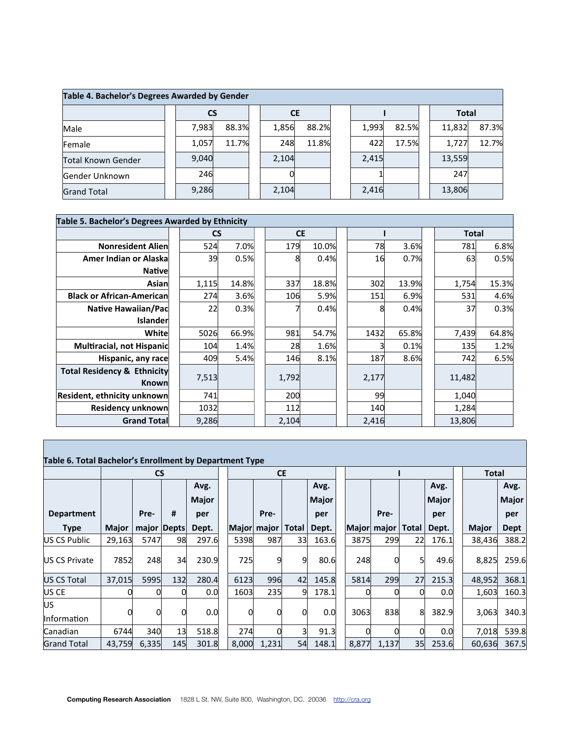| Table 4. Bachelor's Degrees Awarded by Gender |           |       |           |       |       |       |              |       |
|-----------------------------------------------|-----------|-------|-----------|-------|-------|-------|--------------|-------|
|                                               | <b>CS</b> |       | <b>CE</b> |       |       |       | <b>Total</b> |       |
| Male                                          | 7,983     | 88.3% | 1,856     | 88.2% | 1,993 | 82.5% | 11,832       | 87.3% |
| Female                                        | 1,057     | 11.7% | 248       | 11.8% | 422   | 17.5% | 1,727        | 12.7% |
| Total Known Gender                            | 9,040     |       | 2,104     |       | 2,415 |       | 13,559       |       |
| Gender Unknown                                | 246       |       |           |       |       |       | 247          |       |
| <b>Grand Total</b>                            | 9,286     |       | 2,104     |       | 2,416 |       | 13,806       |       |

|                                                 | Table 5. Bachelor's Degrees Awarded by Ethnicity<br><b>CS</b><br><b>CE</b><br>Total<br>524<br>7.0%<br>78<br>6.8%<br><b>Nonresident Alien</b><br>179<br>10.0%<br>3.6%<br>781<br>39<br>0.5%<br>Amer Indian or Alaska<br>0.5%<br>0.4%<br>8<br>16<br>0.7%<br>63<br><b>Nativel</b><br>14.8%<br>337<br>15.3%<br>1,115<br>18.8%<br>302<br>13.9%<br>1,754<br>Asian<br>5.9%<br>6.9%<br>274<br>3.6%<br>106<br>531<br>4.6%<br>151<br>0.3%<br>0.3%<br>37<br>Native Hawaiian/Pac<br>22<br>0.4%<br>8<br>0.4%<br><b>Islander</b><br>5026<br>66.9%<br>64.8%<br>White<br>981<br>1432<br>65.8%<br>7,439<br>54.7%<br>Multiracial, not Hispanic<br>1.4%<br>1.2%<br>104<br>28<br>1.6%<br>0.1%<br>135<br>8.1%<br>6.5%<br>409<br>5.4%<br>187<br>8.6%<br>Hispanic, any race<br>146<br>742 |  |       |  |  |       |  |  |        |  |  |  |  |  |
|-------------------------------------------------|-------------------------------------------------------------------------------------------------------------------------------------------------------------------------------------------------------------------------------------------------------------------------------------------------------------------------------------------------------------------------------------------------------------------------------------------------------------------------------------------------------------------------------------------------------------------------------------------------------------------------------------------------------------------------------------------------------------------------------------------------------------------|--|-------|--|--|-------|--|--|--------|--|--|--|--|--|
|                                                 |                                                                                                                                                                                                                                                                                                                                                                                                                                                                                                                                                                                                                                                                                                                                                                   |  |       |  |  |       |  |  |        |  |  |  |  |  |
|                                                 |                                                                                                                                                                                                                                                                                                                                                                                                                                                                                                                                                                                                                                                                                                                                                                   |  |       |  |  |       |  |  |        |  |  |  |  |  |
|                                                 |                                                                                                                                                                                                                                                                                                                                                                                                                                                                                                                                                                                                                                                                                                                                                                   |  |       |  |  |       |  |  |        |  |  |  |  |  |
|                                                 |                                                                                                                                                                                                                                                                                                                                                                                                                                                                                                                                                                                                                                                                                                                                                                   |  |       |  |  |       |  |  |        |  |  |  |  |  |
|                                                 |                                                                                                                                                                                                                                                                                                                                                                                                                                                                                                                                                                                                                                                                                                                                                                   |  |       |  |  |       |  |  |        |  |  |  |  |  |
| <b>Black or African-American</b>                |                                                                                                                                                                                                                                                                                                                                                                                                                                                                                                                                                                                                                                                                                                                                                                   |  |       |  |  |       |  |  |        |  |  |  |  |  |
|                                                 |                                                                                                                                                                                                                                                                                                                                                                                                                                                                                                                                                                                                                                                                                                                                                                   |  |       |  |  |       |  |  |        |  |  |  |  |  |
|                                                 |                                                                                                                                                                                                                                                                                                                                                                                                                                                                                                                                                                                                                                                                                                                                                                   |  |       |  |  |       |  |  |        |  |  |  |  |  |
|                                                 |                                                                                                                                                                                                                                                                                                                                                                                                                                                                                                                                                                                                                                                                                                                                                                   |  |       |  |  |       |  |  |        |  |  |  |  |  |
|                                                 |                                                                                                                                                                                                                                                                                                                                                                                                                                                                                                                                                                                                                                                                                                                                                                   |  |       |  |  |       |  |  |        |  |  |  |  |  |
|                                                 |                                                                                                                                                                                                                                                                                                                                                                                                                                                                                                                                                                                                                                                                                                                                                                   |  |       |  |  |       |  |  |        |  |  |  |  |  |
| <b>Total Residency &amp; Ethnicity</b><br>Known | 7,513                                                                                                                                                                                                                                                                                                                                                                                                                                                                                                                                                                                                                                                                                                                                                             |  | 1,792 |  |  | 2,177 |  |  | 11,482 |  |  |  |  |  |
| Resident, ethnicity unknown                     | 741                                                                                                                                                                                                                                                                                                                                                                                                                                                                                                                                                                                                                                                                                                                                                               |  | 200   |  |  | 99    |  |  | 1,040  |  |  |  |  |  |
| <b>Residency unknown</b>                        | 1032                                                                                                                                                                                                                                                                                                                                                                                                                                                                                                                                                                                                                                                                                                                                                              |  | 112   |  |  | 140   |  |  | 1,284  |  |  |  |  |  |
| <b>Grand Total</b>                              | 9,286                                                                                                                                                                                                                                                                                                                                                                                                                                                                                                                                                                                                                                                                                                                                                             |  | 2,104 |  |  | 2,416 |  |  | 13,806 |  |  |  |  |  |

#### **Table 6. Total Bachelor's Enrollment by Department Type**

|                            |              | <b>CS</b> |               |              |       | <b>CE</b>   |       |              |       |             |                 |              | <b>Total</b> |              |
|----------------------------|--------------|-----------|---------------|--------------|-------|-------------|-------|--------------|-------|-------------|-----------------|--------------|--------------|--------------|
|                            |              |           |               | Avg.         |       |             |       | Avg.         |       |             |                 | Avg.         |              | Avg.         |
|                            |              |           |               | <b>Major</b> |       |             |       | <b>Major</b> |       |             |                 | <b>Major</b> |              | <b>Major</b> |
| <b>Department</b>          |              | Pre-      | #             | per          |       | Pre-        |       | per          |       | Pre-        |                 | per          |              | per          |
| <b>Type</b>                | <b>Major</b> |           | major   Depts | Dept.        |       | Major major | Total | Dept.        |       | Major major | Total           | Dept.        | <b>Major</b> | <b>Dept</b>  |
| US CS Public               | 29,163       | 5747      | 98            | 297.6        | 5398  | 987         | 33    | 163.6        | 3875  | 299         | 22              | 176.1        | 38,436       | 388.2        |
| US CS Private              | 7852         | 248       | 34            | 230.9        | 725   | 9           | 9     | 80.6         | 248   | 01          | 51              | 49.6         | 8,825        | 259.6        |
| US CS Total                | 37,015       | 5995      | 132           | 280.4        | 6123  | 996         | 42    | 145.8        | 5814  | 299         | 27              | 215.3        | 48,952       | 368.1        |
| <b>US CE</b>               |              |           |               | 0.0          | 1603  | 235         | 9     | 178.1        | 0     |             |                 | 0.0          | 1,603        | 160.3        |
| lus.<br><b>Information</b> |              |           |               | 0.0          |       |             |       | 0.0          | 3063  | 838         | 8               | 382.9        | 3,063        | 340.3        |
| Canadian                   | 6744         | 340       | 13            | 518.8        | 274   |             |       | 91.3         | 0     |             |                 | 0.0          | 7,018        | 539.8        |
| <b>Grand Total</b>         | 43,759       | 6,335     | <b>145</b>    | 301.8        | 8,000 | 1,231       | 54    | 148.1        | 8,877 | 1,137       | 35 <sub>1</sub> | 253.6        | 60,636       | 367.5        |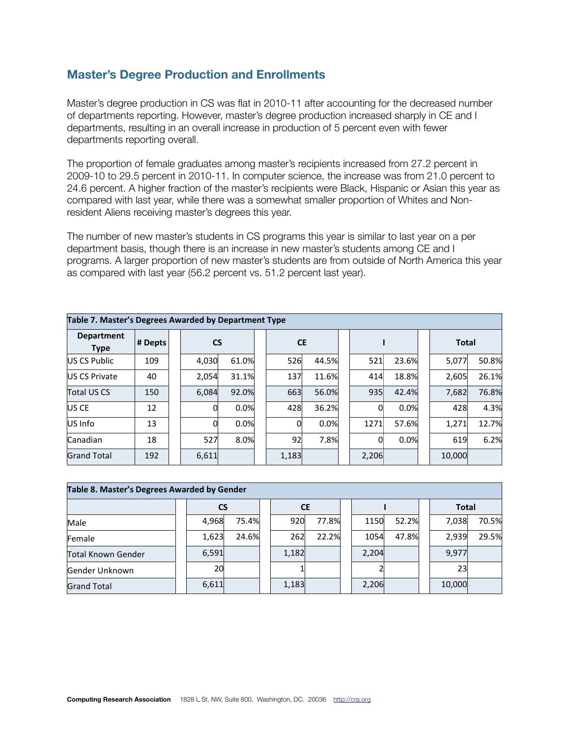#### **Master's Degree Production and Enrollments**

Master's degree production in CS was flat in 2010-11 after accounting for the decreased number of departments reporting. However, master's degree production increased sharply in CE and I departments, resulting in an overall increase in production of 5 percent even with fewer departments reporting overall.

The proportion of female graduates among master's recipients increased from 27.2 percent in 2009-10 to 29.5 percent in 2010-11. In computer science, the increase was from 21.0 percent to 24.6 percent. A higher fraction of the master's recipients were Black, Hispanic or Asian this year as compared with last year, while there was a somewhat smaller proportion of Whites and Nonresident Aliens receiving master's degrees this year.

The number of new master's students in CS programs this year is similar to last year on a per department basis, though there is an increase in new master's students among CE and I programs. A larger proportion of new master's students are from outside of North America this year as compared with last year (56.2 percent vs. 51.2 percent last year).

| Table 7. Master's Degrees Awarded by Department Type |         |           |       |       |           |       |       |       |              |       |
|------------------------------------------------------|---------|-----------|-------|-------|-----------|-------|-------|-------|--------------|-------|
| <b>Department</b><br><b>Type</b>                     | # Depts | <b>CS</b> |       |       | <b>CE</b> |       |       |       | <b>Total</b> |       |
| US CS Public                                         | 109     | 4,030     | 61.0% | 526   |           | 44.5% | 521   | 23.6% | 5,077        | 50.8% |
| <b>IUS CS Private</b>                                | 40      | 2,054     | 31.1% | 137   |           | 11.6% | 414   | 18.8% | 2,605        | 26.1% |
| Total US CS                                          | 150     | 6,084     | 92.0% | 663   |           | 56.0% | 935   | 42.4% | 7,682        | 76.8% |
| <b>US CE</b>                                         | 12      |           | 0.0%  | 428   |           | 36.2% |       | 0.0%  | 428          | 4.3%  |
| US Info                                              | 13      |           | 0.0%  |       |           | 0.0%  | 1271  | 57.6% | 1,271        | 12.7% |
| Canadian                                             | 18      | 527       | 8.0%  | 92    |           | 7.8%  |       | 0.0%  | 619          | 6.2%  |
| <b>Grand Total</b>                                   | 192     | 6,611     |       | 1,183 |           |       | 2,206 |       | 10,000       |       |

| Table 8. Master's Degrees Awarded by Gender |           |       |           |       |       |       |              |       |
|---------------------------------------------|-----------|-------|-----------|-------|-------|-------|--------------|-------|
|                                             | <b>CS</b> |       | <b>CE</b> |       |       |       | <b>Total</b> |       |
| Male                                        | 4,968     | 75.4% | 920       | 77.8% | 1150  | 52.2% | 7,038        | 70.5% |
| Female                                      | 1,623     | 24.6% | 262       | 22.2% | 1054  | 47.8% | 2,939        | 29.5% |
| Total Known Gender                          | 6,591     |       | 1,182     |       | 2,204 |       | 9,977        |       |
| Gender Unknown                              | 20        |       |           |       |       |       | 23           |       |
| <b>Grand Total</b>                          | 6,611     |       | 1,183     |       | 2,206 |       | 10,000       |       |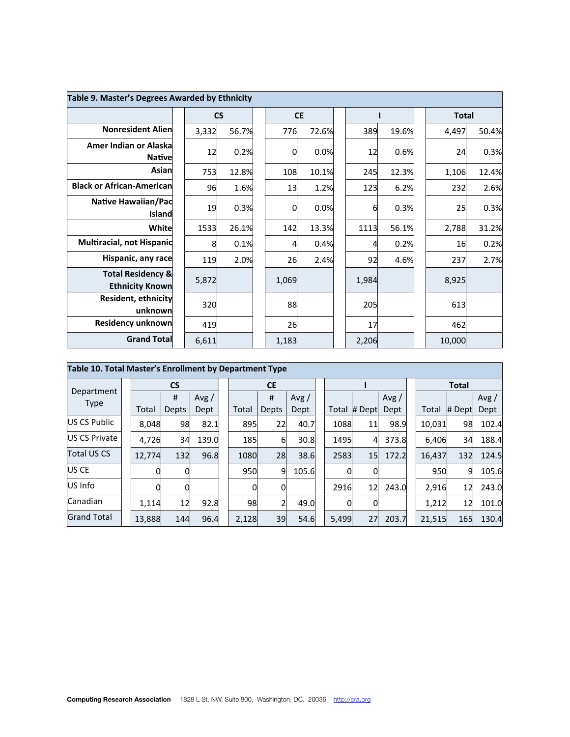| Table 9. Master's Degrees Awarded by Ethnicity         |       |           |       |           |       |       |              |       |
|--------------------------------------------------------|-------|-----------|-------|-----------|-------|-------|--------------|-------|
|                                                        |       | <b>CS</b> |       | <b>CE</b> |       |       | <b>Total</b> |       |
| <b>Nonresident Alien</b>                               | 3,332 | 56.7%     | 776   | 72.6%     | 389   | 19.6% | 4,497        | 50.4% |
| Amer Indian or Alaska<br><b>Native</b>                 | 12    | 0.2%      | 0     | 0.0%      | 12    | 0.6%  | 24           | 0.3%  |
| Asian                                                  | 753   | 12.8%     | 108   | 10.1%     | 245   | 12.3% | 1,106        | 12.4% |
| <b>Black or African-American</b>                       | 96    | 1.6%      | 13    | 1.2%      | 123   | 6.2%  | 232          | 2.6%  |
| <b>Native Hawaiian/Pac</b><br>Island                   | 19    | 0.3%      | 0     | 0.0%      | 61    | 0.3%  | 25           | 0.3%  |
| White                                                  | 1533  | 26.1%     | 142   | 13.3%     | 1113  | 56.1% | 2,788        | 31.2% |
| Multiracial, not Hispanic                              | 8     | 0.1%      | 4     | 0.4%      |       | 0.2%  | 16           | 0.2%  |
| Hispanic, any race                                     | 119   | 2.0%      | 26    | 2.4%      | 92    | 4.6%  | 237          | 2.7%  |
| <b>Total Residency &amp;</b><br><b>Ethnicity Known</b> | 5,872 |           | 1,069 |           | 1,984 |       | 8,925        |       |
| Resident, ethnicity<br>unknown                         | 320   |           | 88    |           | 205   |       | 613          |       |
| Residency unknown                                      | 419   |           | 26    |           | 17    |       | 462          |       |
| <b>Grand Total</b>                                     | 6,611 |           | 1,183 |           | 2,206 |       | 10,000       |       |

| Table 10. Total Master's Enrollment by Department Type |        |              |       |       |           |       |       |        |       |        |              |       |
|--------------------------------------------------------|--------|--------------|-------|-------|-----------|-------|-------|--------|-------|--------|--------------|-------|
| Department                                             |        | <b>CS</b>    |       |       | <b>CE</b> |       |       |        |       |        | <b>Total</b> |       |
| <b>Type</b>                                            |        | #            | Avg / |       | #         | Avg / |       |        | Avg/  |        |              | Avg/  |
|                                                        | Total  | <b>Depts</b> | Dept  | Total | Depts     | Dept  | Total | # Dept | Dept  | Total  | # Dept       | Dept  |
| US CS Public                                           | 8,048  | 98           | 82.1  | 895   | 22        | 40.7  | 1088  | 11     | 98.9  | 10,031 | 98           | 102.4 |
| US CS Private                                          | 4,726  | 34           | 139.0 | 185   | 61        | 30.8  | 1495  | 4      | 373.8 | 6,406  | 34           | 188.4 |
| <b>Total US CS</b>                                     | 12,774 | 132          | 96.8  | 1080  | 28        | 38.6  | 2583  | 15     | 172.2 | 16,437 | 132          | 124.5 |
| US CE                                                  |        | 0            |       | 950   | 9         | 105.6 | 0     | 0      |       | 950    | 9            | 105.6 |
| US Info                                                |        | 0            |       |       | 0         |       | 2916  | 12     | 243.0 | 2,916  | 12           | 243.0 |
| Canadian                                               | 1,114  | 12           | 92.8  | 98    | 2         | 49.0  | 0     | 0      |       | 1,212  | 12           | 101.0 |
| <b>Grand Total</b>                                     | 13,888 | 144          | 96.4  | 2,128 | 39        | 54.6  | 5,499 | 27     | 203.7 | 21,515 | 165          | 130.4 |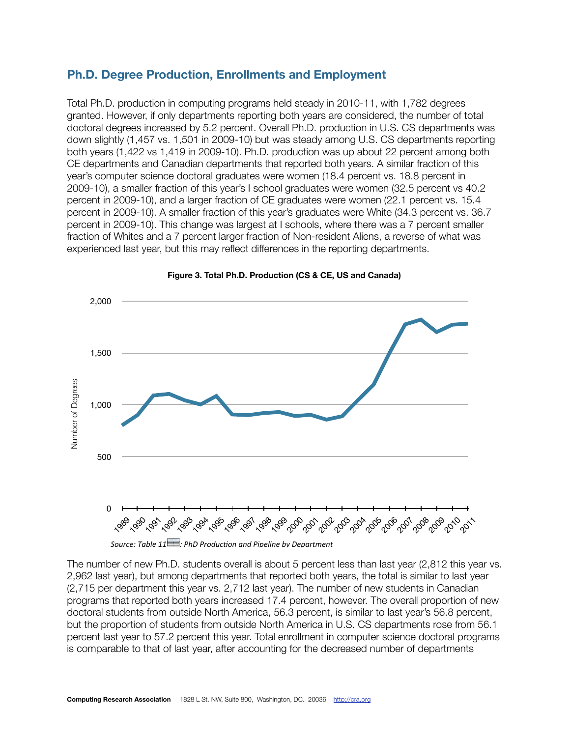#### **Ph.D. Degree Production, Enrollments and Employment**

Total Ph.D. production in computing programs held steady in 2010-11, with 1,782 degrees granted. However, if only departments reporting both years are considered, the number of total doctoral degrees increased by 5.2 percent. Overall Ph.D. production in U.S. CS departments was down slightly (1,457 vs. 1,501 in 2009-10) but was steady among U.S. CS departments reporting both years (1,422 vs 1,419 in 2009-10). Ph.D. production was up about 22 percent among both CE departments and Canadian departments that reported both years. A similar fraction of this year's computer science doctoral graduates were women (18.4 percent vs. 18.8 percent in 2009-10), a smaller fraction of this year's I school graduates were women (32.5 percent vs 40.2 percent in 2009-10), and a larger fraction of CE graduates were women (22.1 percent vs. 15.4 percent in 2009-10). A smaller fraction of this year's graduates were White (34.3 percent vs. 36.7 percent in 2009-10). This change was largest at I schools, where there was a 7 percent smaller fraction of Whites and a 7 percent larger fraction of Non-resident Aliens, a reverse of what was experienced last year, but this may reflect differences in the reporting departments.



**Figure 3. Total Ph.D. Production (CS & CE, US and Canada)**

The number of new Ph.D. students overall is about 5 percent less than last year (2,812 this year vs. 2,962 last year), but among departments that reported both years, the total is similar to last year (2,715 per department this year vs. 2,712 last year). The number of new students in Canadian programs that reported both years increased 17.4 percent, however. The overall proportion of new doctoral students from outside North America, 56.3 percent, is similar to last year's 56.8 percent, but the proportion of students from outside North America in U.S. CS departments rose from 56.1 percent last year to 57.2 percent this year. Total enrollment in computer science doctoral programs is comparable to that of last year, after accounting for the decreased number of departments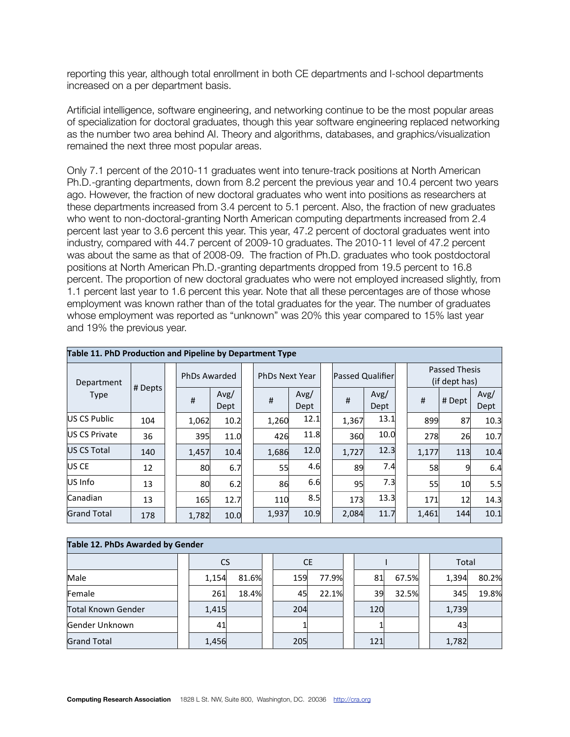reporting this year, although total enrollment in both CE departments and I-school departments increased on a per department basis.

Artificial intelligence, software engineering, and networking continue to be the most popular areas of specialization for doctoral graduates, though this year software engineering replaced networking as the number two area behind AI. Theory and algorithms, databases, and graphics/visualization remained the next three most popular areas.

Only 7.1 percent of the 2010-11 graduates went into tenure-track positions at North American Ph.D.-granting departments, down from 8.2 percent the previous year and 10.4 percent two years ago. However, the fraction of new doctoral graduates who went into positions as researchers at these departments increased from 3.4 percent to 5.1 percent. Also, the fraction of new graduates who went to non-doctoral-granting North American computing departments increased from 2.4 percent last year to 3.6 percent this year. This year, 47.2 percent of doctoral graduates went into industry, compared with 44.7 percent of 2009-10 graduates. The 2010-11 level of 47.2 percent was about the same as that of 2008-09. The fraction of Ph.D. graduates who took postdoctoral positions at North American Ph.D.-granting departments dropped from 19.5 percent to 16.8 percent. The proportion of new doctoral graduates who were not employed increased slightly, from 1.1 percent last year to 1.6 percent this year. Note that all these percentages are of those whose employment was known rather than of the total graduates for the year. The number of graduates whose employment was reported as "unknown" was 20% this year compared to 15% last year and 19% the previous year.

| Table 11. PhD Production and Pipeline by Department Type |         |       |                     |                       |              |                  |              |       |                                |              |
|----------------------------------------------------------|---------|-------|---------------------|-----------------------|--------------|------------------|--------------|-------|--------------------------------|--------------|
| Department                                               |         |       | <b>PhDs Awarded</b> | <b>PhDs Next Year</b> |              | Passed Qualifier |              |       | Passed Thesis<br>(if dept has) |              |
| <b>Type</b>                                              | # Depts | #     | Avg/<br>Dept        | #                     | Avg/<br>Dept | #                | Avg/<br>Dept | #     | # Dept                         | Avg/<br>Dept |
| US CS Public                                             | 104     | 1,062 | 10.2                | 1,260                 | 12.1         | 1,367            | 13.1         | 899   | 87                             | 10.3         |
| US CS Private                                            | 36      | 395   | 11.0                | 426                   | 11.8         | 360              | 10.0         | 278   | 26                             | 10.7         |
| US CS Total                                              | 140     | 1,457 | 10.4                | 1,686                 | 12.0         | 1,727            | 12.3         | 1,177 | 113                            | 10.4         |
| <b>US CE</b>                                             | 12      | 80    | 6.7                 | 55                    | 4.6          | 89               | 7.4          | 58    | 9                              | 6.4          |
| US Info                                                  | 13      | 80    | 6.2                 | 86                    | 6.6          | 95               | 7.3          | 55    | 10 <sup>1</sup>                | 5.5          |
| Canadian                                                 | 13      | 165   | 12.7                | 110                   | 8.5          | 173              | 13.3         | 171   | 12                             | 14.3         |
| <b>Grand Total</b>                                       | 178     | 1,782 | 10.0                | 1,937                 | 10.9         | 2,084            | 11.7         | 1,461 | 144                            | 10.1         |

| Table 12. PhDs Awarded by Gender |           |       |           |       |     |       |       |       |
|----------------------------------|-----------|-------|-----------|-------|-----|-------|-------|-------|
|                                  | <b>CS</b> |       | <b>CE</b> |       |     |       | Total |       |
| Male                             | 1,154     | 81.6% | 159       | 77.9% | 81  | 67.5% | 1,394 | 80.2% |
| Female                           | 261       | 18.4% | 45        | 22.1% | 39  | 32.5% | 345   | 19.8% |
| Total Known Gender               | 1,415     |       | 204       |       | 120 |       | 1,739 |       |
| Gender Unknown                   | 41        |       |           |       |     |       | 43    |       |
| <b>Grand Total</b>               | 1,456     |       | 205       |       | 121 |       | 1,782 |       |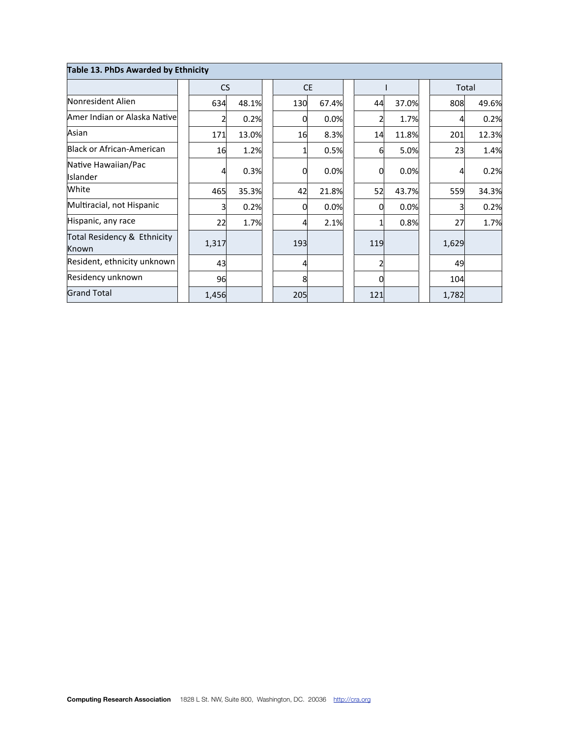| Table 13. PhDs Awarded by Ethnicity  |           |       |           |       |     |       |       |       |
|--------------------------------------|-----------|-------|-----------|-------|-----|-------|-------|-------|
|                                      | <b>CS</b> |       | <b>CE</b> |       |     |       |       | Total |
| Nonresident Alien                    | 634       | 48.1% | 130       | 67.4% | 44  | 37.0% | 808   | 49.6% |
| Amer Indian or Alaska Native         |           | 0.2%  | 0         | 0.0%  |     | 1.7%  | 4     | 0.2%  |
| Asian                                | 171       | 13.0% | 16        | 8.3%  | 14  | 11.8% | 201   | 12.3% |
| Black or African-American            | 16        | 1.2%  |           | 0.5%  | 61  | 5.0%  | 23    | 1.4%  |
| Native Hawaiian/Pac<br>Islander      |           | 0.3%  | 0         | 0.0%  | 0   | 0.0%  | 4     | 0.2%  |
| White                                | 465       | 35.3% | 42        | 21.8% | 52  | 43.7% | 559   | 34.3% |
| Multiracial, not Hispanic            |           | 0.2%  | 0         | 0.0%  | Ωl  | 0.0%  |       | 0.2%  |
| Hispanic, any race                   | 22        | 1.7%  | 4         | 2.1%  |     | 0.8%  | 27    | 1.7%  |
| Total Residency & Ethnicity<br>Known | 1,317     |       | 193       |       | 119 |       | 1,629 |       |
| Resident, ethnicity unknown          | 43        |       |           |       |     |       | 49    |       |
| Residency unknown                    | 96        |       | 8         |       |     |       | 104   |       |
| <b>Grand Total</b>                   | 1,456     |       | 205       |       | 121 |       | 1,782 |       |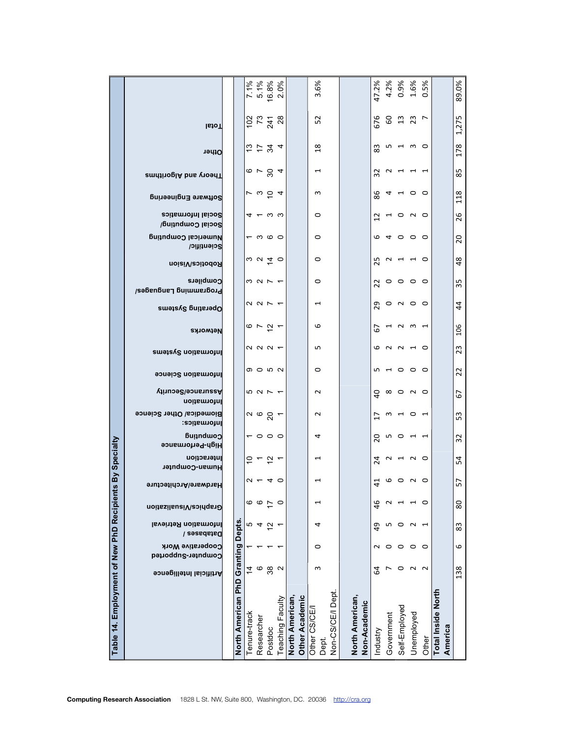| Table 14. Employment of New PhD Recipients |                                                 | North American PhD Granting Depts | Tenure-track   | Researcher | Postdoc                                                                                                          | Teaching Faculty | <b>Other Academic</b><br>North American, | Other CS/CE/<br>Dept.    | Non-CS/CE/I Dept. | North American, | Non-Academic | Industry       | Government | Self-Employed                                                                    | Unemployed     | Other          | Total Inside North | America        |
|--------------------------------------------|-------------------------------------------------|-----------------------------------|----------------|------------|------------------------------------------------------------------------------------------------------------------|------------------|------------------------------------------|--------------------------|-------------------|-----------------|--------------|----------------|------------|----------------------------------------------------------------------------------|----------------|----------------|--------------------|----------------|
|                                            | Artificial Intelligence                         |                                   | $\overline{4}$ | $\circ$    | $38\,$                                                                                                           | $\sim$           |                                          | S                        |                   |                 |              | 54             | r          |                                                                                  | $\circ$ $\sim$ | $\sim$         |                    | 138            |
|                                            | Cooperative Work<br>Computer-Supported          |                                   |                |            |                                                                                                                  |                  |                                          | $\circ$                  |                   |                 |              | $\sim$         | $\circ$    | $\circ$                                                                          | $\circ$        | $\circ$        |                    | 6              |
|                                            | Information Retrieval<br>Databases /            |                                   |                | ro 4       | $\tilde{c}$                                                                                                      |                  |                                          | 4                        |                   |                 |              | 9              | LO.        | $\circ$ $\sim$                                                                   |                | $\overline{ }$ |                    | 83             |
|                                            | Graphics/Visualization                          |                                   |                |            | $rac{6}{5}$                                                                                                      | $\circ$          |                                          | $\overline{\phantom{0}}$ |                   |                 |              | $\frac{6}{5}$  | $\sim$     |                                                                                  | $-1$ $-1$      |                |                    | 80             |
|                                            | Hardware/Architecture                           |                                   |                |            | $U - 40$                                                                                                         |                  |                                          | $\overline{\phantom{0}}$ |                   |                 |              | $\overline{4}$ |            | 00000                                                                            |                |                |                    | 57             |
| By Specialty                               | Interaction<br>Human-Computer                   |                                   |                |            | $5 - 5 -$                                                                                                        |                  |                                          | $\overline{ }$           |                   |                 |              | $\overline{a}$ |            | N H N O                                                                          |                |                |                    | 54             |
|                                            | Computing<br>High-Performance                   |                                   |                |            | $-$ 0 0 0                                                                                                        |                  |                                          | 4                        |                   |                 |              | 20             |            | <b>5000000</b>                                                                   |                |                |                    | 32             |
|                                            | <b>Biomedica/ Other Science</b><br>Informatics: |                                   |                |            | $\sim$ $\circ$ $\sim$ $\sim$                                                                                     |                  |                                          | $\sim$                   |                   |                 |              |                |            |                                                                                  |                |                |                    | 53             |
|                                            | Nssurance/Security<br>Information               |                                   |                |            | 5 2 5 4                                                                                                          |                  |                                          | $\sim$                   |                   |                 |              |                |            | $Q \otimes Q \otimes Q$                                                          |                |                |                    | 67             |
|                                            | Information Science                             |                                   |                |            | のつめひ                                                                                                             |                  |                                          | $\circ$                  |                   |                 |              |                |            |                                                                                  |                |                |                    | 22             |
|                                            | emeter noitems                                  |                                   |                |            | $\alpha$ $\alpha$ $\alpha$ $\tau$                                                                                |                  |                                          | LN.                      |                   |                 |              |                |            | <b>0 N N H O</b>                                                                 |                |                |                    | 23             |
|                                            | Networks                                        |                                   |                |            | $\circ$ $\sim$ $\sim$ $\sim$                                                                                     |                  |                                          | $\mathbf \omega$         |                   |                 |              | 5              |            | 7 N W 7                                                                          |                |                |                    | 106            |
|                                            | Dperating Systems                               |                                   |                |            | $\begin{array}{c} \mathcal{O} & \mathcal{O} & \mathcal{O} & \mathcal{O} & \mathcal{O} & \mathcal{O} \end{array}$ |                  |                                          | $\overline{ }$           |                   |                 |              |                |            | 200000                                                                           |                |                |                    | 4              |
|                                            | Compilers<br>Programming Languages/             |                                   |                |            | うつフィ                                                                                                             |                  |                                          | $\circ$                  |                   |                 |              |                |            | 20000                                                                            |                |                |                    | 35             |
|                                            | Robotics/Vision                                 |                                   |                |            | $\omega$ $\sigma$ $\tau$ $\sigma$                                                                                |                  |                                          | $\circ$                  |                   |                 |              |                |            | 12 2 4 4 0                                                                       |                |                |                    | $\frac{8}{3}$  |
|                                            | Numerical Computing<br>Scientific/              |                                   |                |            | $ \circ$ $\circ$ $\circ$                                                                                         |                  |                                          | $\circ$                  |                   |                 |              |                |            | $\circ$ 4 0 0 0                                                                  |                |                |                    | $\overline{c}$ |
|                                            | Social Informatics<br>Social Computing/         |                                   |                |            | $4 - \omega \omega$                                                                                              |                  |                                          | $\circ$                  |                   |                 |              |                |            | 2110000                                                                          |                |                |                    | 26             |
|                                            | Software Engineering                            |                                   |                |            | $\sim \omega \simeq 4$                                                                                           |                  |                                          | $\epsilon$               |                   |                 |              |                |            | 8 4 4 0 0                                                                        |                |                |                    | 118            |
|                                            | amntioglA bns voenT                             |                                   |                |            | $6 - 84$                                                                                                         |                  |                                          | $\overline{ }$           |                   |                 |              |                |            | 2<br>2<br>2<br>2<br>2<br>2<br>2<br>2<br>2<br>2<br>2<br>2<br>2<br>2<br>2<br>2<br> |                |                |                    | 85             |
|                                            | Other                                           |                                   |                |            | 5.524                                                                                                            |                  |                                          | $\frac{8}{3}$            |                   |                 |              | 83             |            |                                                                                  |                |                |                    | 178            |
|                                            | <b>IstoT</b>                                    |                                   |                |            | $  \overline{S} \, \overline{S} \, \overline{S} \, \overline{S} \,$                                              |                  |                                          | 52                       |                   |                 |              | 676            |            | $\begin{array}{c} 6 & 3 & 3 \\ 3 & 3 & 2 \end{array}$                            |                |                |                    | 1,275          |
|                                            |                                                 |                                   |                |            | $\begin{array}{r} \n 7.1\% \\ \n 5.1\% \\ \n 6.8\% \\ \n 7.4\% \\ \n 8.0\% \n \end{array}$                       |                  |                                          | 3.6%                     |                   |                 |              | 47.2%          |            | $4.2%$<br>0.9%<br>0.5%<br>0.5%                                                   |                |                |                    | 89.0%          |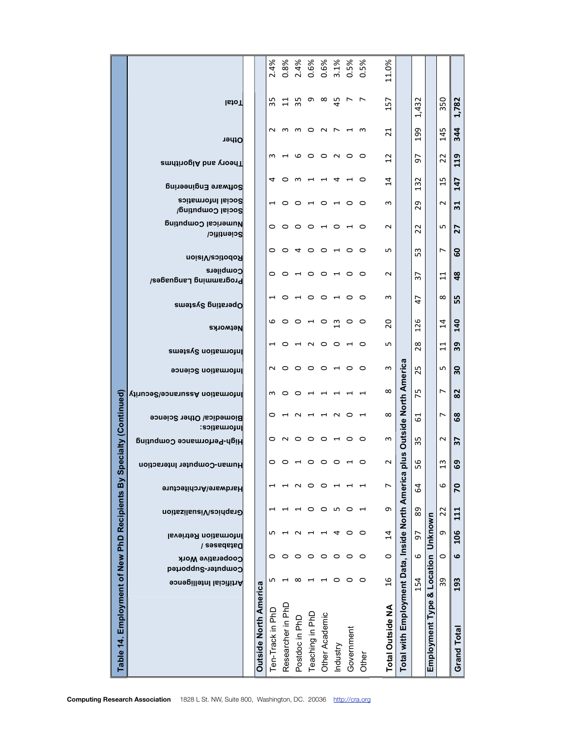| Table 14. Employment of New PhD Recipients By    |                                |                                        |                                      |                          |                                         | <u>U)</u>                  |                                            | pecialty (Continued)           |                             |                            |                                    |                                             |                                                                    |                              |                |                                          |                                            |                      |                                  |                |                        |
|--------------------------------------------------|--------------------------------|----------------------------------------|--------------------------------------|--------------------------|-----------------------------------------|----------------------------|--------------------------------------------|--------------------------------|-----------------------------|----------------------------|------------------------------------|---------------------------------------------|--------------------------------------------------------------------|------------------------------|----------------|------------------------------------------|--------------------------------------------|----------------------|----------------------------------|----------------|------------------------|
|                                                  | Artificial Intelligence        | Cooperative Work<br>Computer-Supported | Information Retrieval<br>Databases / | Graphics/Visualization   | Hardware/Architecture                   | Human-Computer Interaction | Informatics:<br>High-Performance Computing | Biomedica/ Other Science       | Vituose/sonsuesA noitsmotnl | <b>Information Science</b> | <b>Networks</b><br>emation Systems | Dperating Systems                           | Programming Languages/                                             | Robotics/Vision<br>Compilers | Scientific/    | Social Computing/<br>Numerical Computing | Software Engineering<br>Social Informatics | amntinoglA bns voenT | Other                            | <b>IstoT</b>   |                        |
|                                                  |                                |                                        |                                      |                          |                                         |                            |                                            |                                |                             |                            |                                    |                                             |                                                                    |                              |                |                                          |                                            |                      |                                  |                |                        |
| <b>Outside North America</b>                     |                                |                                        |                                      |                          |                                         |                            |                                            |                                |                             |                            |                                    |                                             |                                                                    |                              |                |                                          |                                            |                      |                                  |                |                        |
| Ten-Track in PhD                                 | LO                             | 0                                      | m                                    |                          | ⊣                                       | 0                          | 0                                          | 0                              | S                           | $\sim$                     |                                    |                                             | $\overline{\phantom{0}}$                                           | 0                            | 0              | $\circ$                                  | ⊣                                          | 4                    | m                                | 35<br>$\sim$   | 2.4%                   |
| Researcher in PhD                                | $\mathbf{\mathbf{\mathsf{H}}}$ | $\circ$                                |                                      |                          | ↽                                       | ○                          |                                            |                                | $\circ$                     | $\circ$                    | 0                                  |                                             | $\circ$                                                            | $\circ$                      | $\circ$        |                                          | $\circ$                                    | 0                    |                                  | $\Xi$<br>ന     | 0.8%                   |
| Postdoc in PhD                                   | $\infty$                       | $\circ$                                | $\sim$                               |                          | $\sim$                                  | $\overline{\phantom{0}}$   | $\sim$ $\sim$                              | $\sim$                         | $\circ$                     | $\circ$                    |                                    |                                             |                                                                    | $\overline{ }$               | $\overline{a}$ | $\circ \circ \circ$                      |                                            | ന                    | G                                | 35<br>m        | 2.4%                   |
| Teaching in PhD                                  | $\overline{\phantom{0}}$       | $\circ$                                | $\overline{\phantom{0}}$             | 0                        | $\circ$                                 | $\circ$                    |                                            | $\mathbf{\mathbf{\mathsf{H}}}$ | $\overline{\phantom{0}}$    | $\circ$                    | $\sim$                             | $\circ \circ \circ \circ \circ \circ \circ$ |                                                                    | $\circ$                      |                |                                          |                                            |                      | $\circ$                          | $\circ$        | 0.6%<br>ᡡ              |
| Other Academic                                   | $\overline{\phantom{0}}$       | $\circ$                                | $\overline{\phantom{0}}$             | $\circ$                  | 0                                       | $\circ$                    |                                            | $\overline{\phantom{0}}$       |                             | $\circ$                    | $\circ$                            |                                             |                                                                    | $\circ$                      |                | $\overline{a}$                           |                                            |                      | $\circ$ $\sim$                   | $\sim$ $\sim$  | 0.6%<br>$\infty$       |
| Industry                                         | $\circ$                        | $\circ$                                | 4                                    | m                        |                                         | $\circ$                    | 0010                                       | $\sim$                         |                             | $\overline{\phantom{0}}$   | $\circ$                            |                                             | $\begin{array}{c} 1 & 0 & 0 \\ 0 & 0 & 0 \\ 0 & 0 & 0 \end{array}$ | $\overline{\phantom{0}}$     | 0010           |                                          | $O$ $H$ $O$ $H$ $O$                        | 4                    |                                  | $\frac{4}{5}$  | 3.1%                   |
| Government                                       | $\circ$                        | $\circ$                                | $\circ$                              | $\circ$                  |                                         |                            |                                            | っ                              |                             | $\circ$                    | ↽                                  | $\circ$                                     |                                                                    | $\circ$                      |                | $\overline{ }$                           |                                            |                      | $\circ$                          | $\overline{ }$ | 0.5%<br>$\overline{ }$ |
| Other                                            | $\circ$                        | $\circ$                                | $\circ$                              | $\overline{\phantom{0}}$ | $\mathbf{\mathbf{\mathbf{\mathsf{-}}}}$ | 0                          | $\circ$                                    | $\mathbf{\overline{u}}$        |                             | $\circ$                    | O                                  | $\circ$                                     | $\circ$                                                            | $\circ$                      | $\circ$        | $\circ$                                  | $\circ$                                    | $\circ$              | $\circ$                          | S              | 0.5%<br>$\overline{ }$ |
| <b>Total Outside NA</b>                          | $\overline{16}$                | $\circ$                                | $\overline{1}$                       | σ                        | L                                       | $\sim$                     | S                                          | $^\infty$                      | $\infty$                    | S                          | S                                  | 20                                          | S                                                                  | $\sim$                       | ഗ              | $\sim$                                   | S                                          | $\overline{1}$       | $\overline{z}$<br>$\overline{c}$ | $\overline{5}$ | 11.0%                  |
| Total with Employment Data, Inside North America |                                |                                        |                                      |                          |                                         | plus                       |                                            | <b>Outside North America</b>   |                             |                            |                                    |                                             |                                                                    |                              |                |                                          |                                            |                      |                                  |                |                        |
|                                                  | 154                            | 6                                      | 57                                   | 89                       | 59                                      | 56                         | 35                                         | 61                             | 75                          | 25                         | 28                                 | 126                                         | $\sim$<br>47                                                       | ∼                            | 53             | 22                                       | H<br>29                                    | 5<br>32              | 199                              | 432<br>ᠳ       |                        |
| Employment Type & Location                       |                                |                                        | Unknown                              |                          |                                         |                            |                                            |                                |                             |                            |                                    |                                             |                                                                    |                              |                |                                          |                                            |                      |                                  |                |                        |
|                                                  | 39                             | $\circ$                                | G                                    | 22                       | $\mathbf \omega$                        | 13                         | $\sim$                                     | Z                              | Z                           | LN.                        | $\Xi$                              | $\overline{1}$                              | $\infty$                                                           | $\overline{11}$              | $\overline{ }$ | LO.                                      | $\sim$                                     | 22<br>15             | 145                              | 350            |                        |
| Grand Total                                      | 193                            | $\mathbf{c}$                           | 106                                  | 111                      | 20                                      | 69                         | $\frac{2}{3}$                              | 89                             | 82                          | 30                         | 39                                 | $\overline{a}$                              | 55                                                                 | 48                           | 27<br>င္ၿ      | $\overline{31}$                          |                                            | 119<br>147           | 344                              | 1,782          |                        |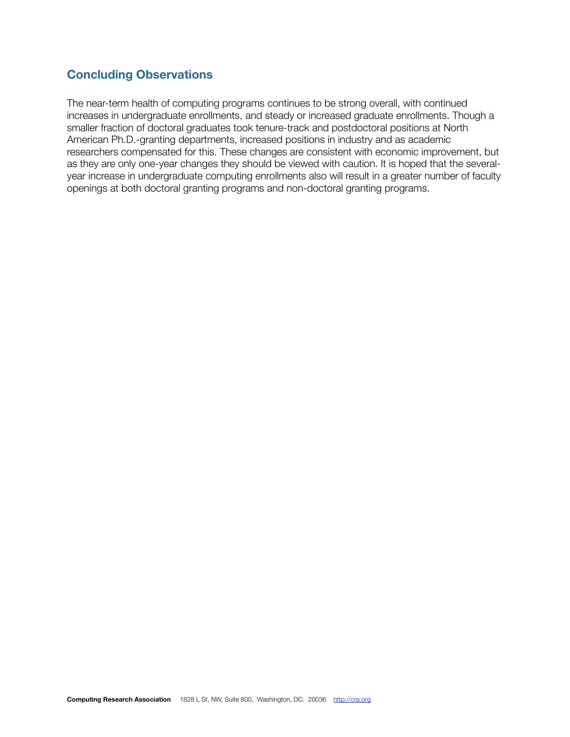### **Concluding Observations**

The near-term health of computing programs continues to be strong overall, with continued increases in undergraduate enrollments, and steady or increased graduate enrollments. Though a smaller fraction of doctoral graduates took tenure-track and postdoctoral positions at North American Ph.D.-granting departments, increased positions in industry and as academic researchers compensated for this. These changes are consistent with economic improvement, but as they are only one-year changes they should be viewed with caution. It is hoped that the severalyear increase in undergraduate computing enrollments also will result in a greater number of faculty openings at both doctoral granting programs and non-doctoral granting programs.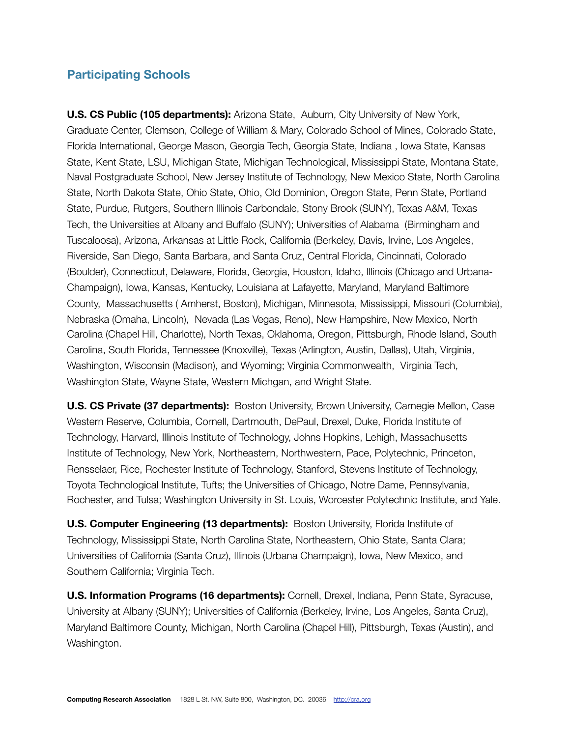#### **Participating Schools**

**U.S. CS Public (105 departments):** Arizona State, Auburn, City University of New York, Graduate Center, Clemson, College of William & Mary, Colorado School of Mines, Colorado State, Florida International, George Mason, Georgia Tech, Georgia State, Indiana , Iowa State, Kansas State, Kent State, LSU, Michigan State, Michigan Technological, Mississippi State, Montana State, Naval Postgraduate School, New Jersey Institute of Technology, New Mexico State, North Carolina State, North Dakota State, Ohio State, Ohio, Old Dominion, Oregon State, Penn State, Portland State, Purdue, Rutgers, Southern Illinois Carbondale, Stony Brook (SUNY), Texas A&M, Texas Tech, the Universities at Albany and Buffalo (SUNY); Universities of Alabama (Birmingham and Tuscaloosa), Arizona, Arkansas at Little Rock, California (Berkeley, Davis, Irvine, Los Angeles, Riverside, San Diego, Santa Barbara, and Santa Cruz, Central Florida, Cincinnati, Colorado (Boulder), Connecticut, Delaware, Florida, Georgia, Houston, Idaho, Illinois (Chicago and Urbana-Champaign), Iowa, Kansas, Kentucky, Louisiana at Lafayette, Maryland, Maryland Baltimore County, Massachusetts ( Amherst, Boston), Michigan, Minnesota, Mississippi, Missouri (Columbia), Nebraska (Omaha, Lincoln), Nevada (Las Vegas, Reno), New Hampshire, New Mexico, North Carolina (Chapel Hill, Charlotte), North Texas, Oklahoma, Oregon, Pittsburgh, Rhode Island, South Carolina, South Florida, Tennessee (Knoxville), Texas (Arlington, Austin, Dallas), Utah, Virginia, Washington, Wisconsin (Madison), and Wyoming; Virginia Commonwealth, Virginia Tech, Washington State, Wayne State, Western Michgan, and Wright State.

**U.S. CS Private (37 departments):** Boston University, Brown University, Carnegie Mellon, Case Western Reserve, Columbia, Cornell, Dartmouth, DePaul, Drexel, Duke, Florida Institute of Technology, Harvard, Illinois Institute of Technology, Johns Hopkins, Lehigh, Massachusetts Institute of Technology, New York, Northeastern, Northwestern, Pace, Polytechnic, Princeton, Rensselaer, Rice, Rochester Institute of Technology, Stanford, Stevens Institute of Technology, Toyota Technological Institute, Tufts; the Universities of Chicago, Notre Dame, Pennsylvania, Rochester, and Tulsa; Washington University in St. Louis, Worcester Polytechnic Institute, and Yale.

**U.S. Computer Engineering (13 departments):** Boston University, Florida Institute of Technology, Mississippi State, North Carolina State, Northeastern, Ohio State, Santa Clara; Universities of California (Santa Cruz), Illinois (Urbana Champaign), Iowa, New Mexico, and Southern California; Virginia Tech.

**U.S. Information Programs (16 departments):** Cornell, Drexel, Indiana, Penn State, Syracuse, University at Albany (SUNY); Universities of California (Berkeley, Irvine, Los Angeles, Santa Cruz), Maryland Baltimore County, Michigan, North Carolina (Chapel Hill), Pittsburgh, Texas (Austin), and Washington.